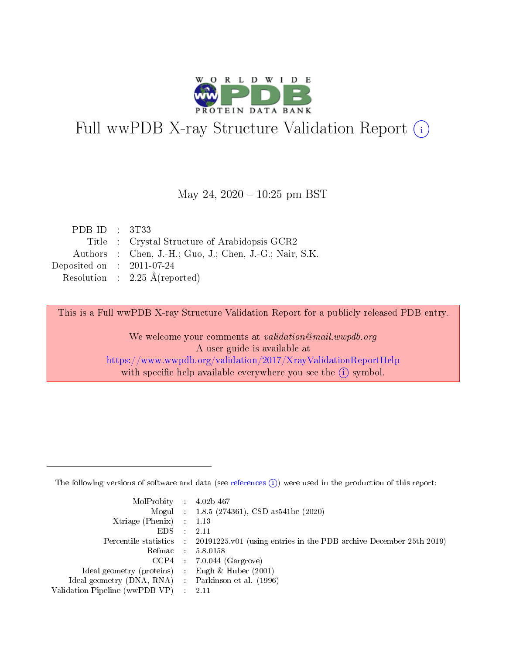

# Full wwPDB X-ray Structure Validation Report (i)

#### May 24,  $2020 - 10:25$  pm BST

| PDB ID : $3T33$             |                                                         |
|-----------------------------|---------------------------------------------------------|
|                             | Title : Crystal Structure of Arabidopsis GCR2           |
|                             | Authors : Chen, J.-H.; Guo, J.; Chen, J.-G.; Nair, S.K. |
| Deposited on : $2011-07-24$ |                                                         |
|                             | Resolution : $2.25 \text{ Å}$ (reported)                |

This is a Full wwPDB X-ray Structure Validation Report for a publicly released PDB entry.

We welcome your comments at validation@mail.wwpdb.org A user guide is available at <https://www.wwpdb.org/validation/2017/XrayValidationReportHelp> with specific help available everywhere you see the  $(i)$  symbol.

The following versions of software and data (see [references](https://www.wwpdb.org/validation/2017/XrayValidationReportHelp#references)  $(1)$ ) were used in the production of this report:

| $MolProbability$ : 4.02b-467                        |                                                                                            |
|-----------------------------------------------------|--------------------------------------------------------------------------------------------|
|                                                     | Mogul : 1.8.5 (274361), CSD as 541be (2020)                                                |
| Xtriage (Phenix) $: 1.13$                           |                                                                                            |
| EDS :                                               | -2.11                                                                                      |
|                                                     | Percentile statistics : 20191225.v01 (using entries in the PDB archive December 25th 2019) |
| Refmac 58.0158                                      |                                                                                            |
|                                                     | $CCP4$ 7.0.044 (Gargrove)                                                                  |
| Ideal geometry (proteins) : Engh $\&$ Huber (2001)  |                                                                                            |
| Ideal geometry (DNA, RNA) : Parkinson et al. (1996) |                                                                                            |
| Validation Pipeline (wwPDB-VP) : 2.11               |                                                                                            |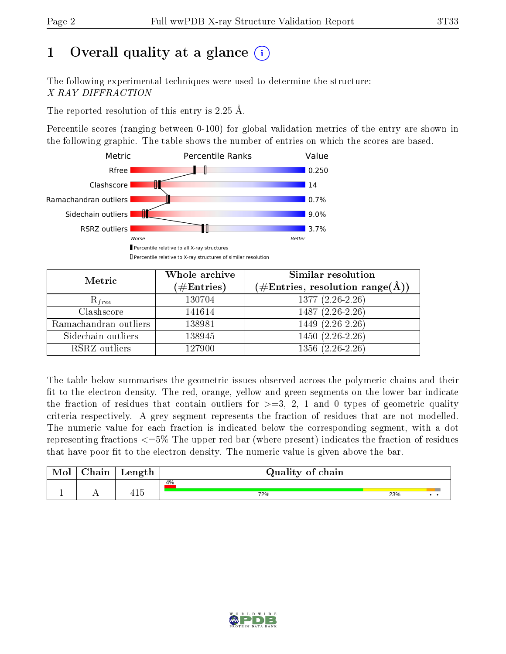# 1 [O](https://www.wwpdb.org/validation/2017/XrayValidationReportHelp#overall_quality)verall quality at a glance  $(i)$

The following experimental techniques were used to determine the structure: X-RAY DIFFRACTION

The reported resolution of this entry is 2.25 Å.

Percentile scores (ranging between 0-100) for global validation metrics of the entry are shown in the following graphic. The table shows the number of entries on which the scores are based.



| Metric                | Whole archive        | Similar resolution                                                     |
|-----------------------|----------------------|------------------------------------------------------------------------|
|                       | $(\#\text{Entries})$ | $(\#\text{Entries},\,\text{resolution}\,\,\text{range}(\textup{\AA}))$ |
| $R_{free}$            | 130704               | $1377(2.26-2.26)$                                                      |
| Clashscore            | 141614               | $1487(2.26-2.26)$                                                      |
| Ramachandran outliers | 138981               | $1449(2.26-2.26)$                                                      |
| Sidechain outliers    | 138945               | $1450(2.26-2.26)$                                                      |
| RSRZ outliers         | 127900               | $1356(2.26-2.26)$                                                      |

The table below summarises the geometric issues observed across the polymeric chains and their fit to the electron density. The red, orange, yellow and green segments on the lower bar indicate the fraction of residues that contain outliers for  $>=3, 2, 1$  and 0 types of geometric quality criteria respectively. A grey segment represents the fraction of residues that are not modelled. The numeric value for each fraction is indicated below the corresponding segment, with a dot representing fractions <=5% The upper red bar (where present) indicates the fraction of residues that have poor fit to the electron density. The numeric value is given above the bar.

| Mol | $\gamma$ hain | Length                 | Quality of chain |     |     |  |  |  |  |  |
|-----|---------------|------------------------|------------------|-----|-----|--|--|--|--|--|
|     |               |                        | 4%               |     |     |  |  |  |  |  |
|     |               | 1 <sup>2</sup><br>41 J | 72%              | 23% | . . |  |  |  |  |  |

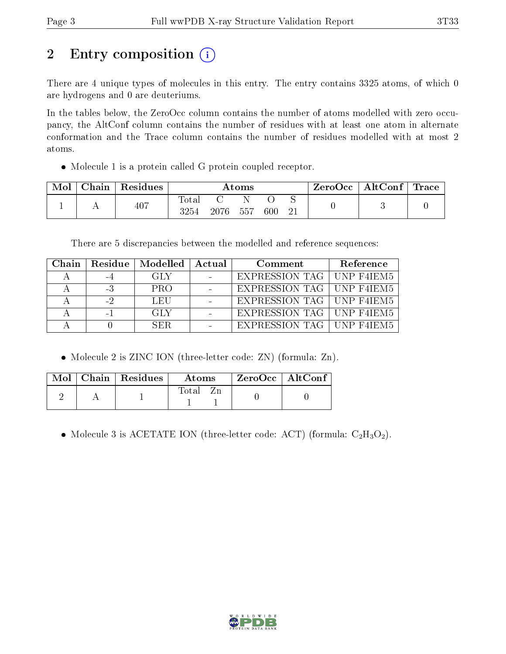# 2 Entry composition (i)

There are 4 unique types of molecules in this entry. The entry contains 3325 atoms, of which 0 are hydrogens and 0 are deuteriums.

In the tables below, the ZeroOcc column contains the number of atoms modelled with zero occupancy, the AltConf column contains the number of residues with at least one atom in alternate conformation and the Trace column contains the number of residues modelled with at most 2 atoms.

Molecule 1 is a protein called G protein coupled receptor.

| Mol | Chain | Residues | $\rm{Atoms}$  |      |     |     | ZeroOcc | $\mid$ AltConf $\mid$ Trace |  |  |
|-----|-------|----------|---------------|------|-----|-----|---------|-----------------------------|--|--|
|     |       | 407      | Totar<br>3254 | 2076 | 557 | 600 |         |                             |  |  |

There are 5 discrepancies between the modelled and reference sequences:

| Chain |      | Residue   Modelled   Actual | Comment                     | Reference |
|-------|------|-----------------------------|-----------------------------|-----------|
|       |      | -GLY                        | EXPRESSION TAG   UNP F4IEM5 |           |
|       | $-3$ | <b>PRO</b>                  | EXPRESSION TAG   UNP F4IEM5 |           |
|       |      | LEU                         | EXPRESSION TAG   UNP F4IEM5 |           |
|       |      | GLY                         | EXPRESSION TAG   UNP F4IEM5 |           |
|       |      | SER.                        | EXPRESSION TAG   UNP F4IEM5 |           |

• Molecule 2 is ZINC ION (three-letter code: ZN) (formula: Zn).

|  | $Mol$   Chain   Residues | <b>Atoms</b> | $\rm ZeroOcc \mid AltConf$ |  |
|--|--------------------------|--------------|----------------------------|--|
|  |                          | $\rm Total$  |                            |  |

• Molecule 3 is ACETATE ION (three-letter code: ACT) (formula:  $C_2H_3O_2$ ).

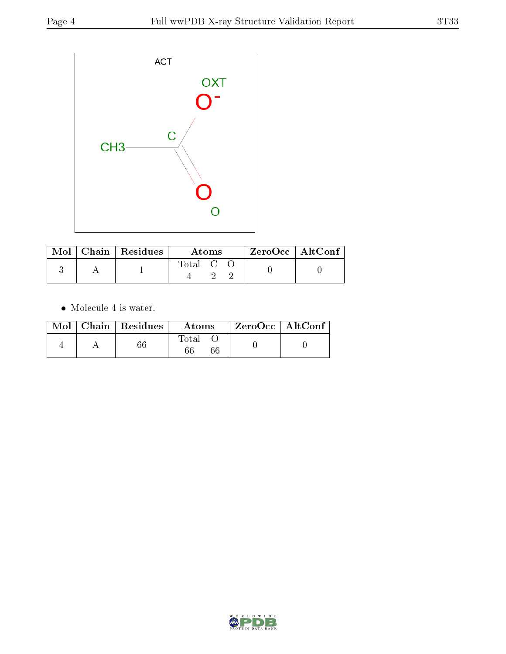

|  | $\text{Mol}$   Chain   Residues | Atoms                                                    |  |  | $ZeroOcc \   \ AltConf$ |  |
|--|---------------------------------|----------------------------------------------------------|--|--|-------------------------|--|
|  |                                 | $\begin{array}{ccc} \text{Total} & \text{C} \end{array}$ |  |  |                         |  |

 $\bullet\,$  Molecule 4 is water.

|  | $Mol$   Chain   Residues | Atoms       | ZeroOcc   AltConf |  |
|--|--------------------------|-------------|-------------------|--|
|  |                          | Total<br>66 |                   |  |

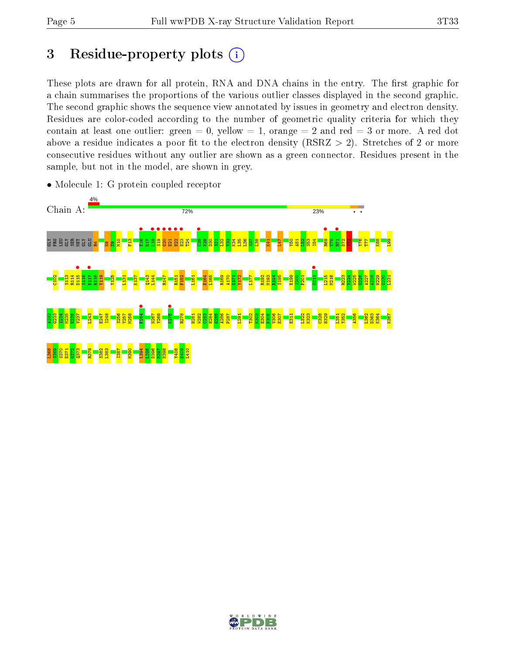# 3 Residue-property plots  $(i)$

These plots are drawn for all protein, RNA and DNA chains in the entry. The first graphic for a chain summarises the proportions of the various outlier classes displayed in the second graphic. The second graphic shows the sequence view annotated by issues in geometry and electron density. Residues are color-coded according to the number of geometric quality criteria for which they contain at least one outlier: green  $= 0$ , yellow  $= 1$ , orange  $= 2$  and red  $= 3$  or more. A red dot above a residue indicates a poor fit to the electron density (RSRZ  $> 2$ ). Stretches of 2 or more consecutive residues without any outlier are shown as a green connector. Residues present in the sample, but not in the model, are shown in grey.



• Molecule 1: G protein coupled receptor

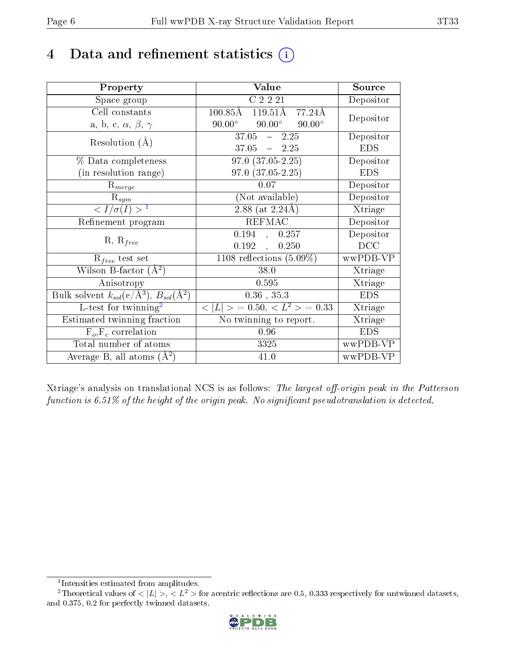# 4 Data and refinement statistics  $(i)$

| Property                                                         | Value                                              | Source                       |
|------------------------------------------------------------------|----------------------------------------------------|------------------------------|
| Space group                                                      | $C$ 2 $\overline{2}$ $\overline{21}$               | Depositor                    |
| Cell constants                                                   | $100.85\text{\AA}$<br>$119.51\text{\AA}$<br>77.24Å | Depositor                    |
| a, b, c, $\alpha$ , $\beta$ , $\gamma$                           | $90.00^\circ$<br>$90.00^\circ$<br>$90.00^\circ$    |                              |
| Resolution $(A)$                                                 | $37.05 - 2.25$                                     | Depositor                    |
|                                                                  | $37.05 = 2.25$                                     | <b>EDS</b>                   |
| % Data completeness                                              | $97.0 (37.05 - 2.25)$                              | Depositor                    |
| (in resolution range)                                            | $97.0 (37.05 - 2.25)$                              | <b>EDS</b>                   |
| $R_{merge}$                                                      | 0.07                                               | Depositor                    |
| $\mathrm{R}_{sym}$                                               | (Not available)                                    | Depositor                    |
| $\langle I/\sigma(I) \rangle$ <sup>1</sup>                       | $2.88$ (at $2.24\text{\AA}$ )                      | $\overline{\text{X}}$ triage |
| Refinement program                                               | <b>REFMAC</b>                                      | Depositor                    |
| $R, R_{free}$                                                    | 0.194, 0.257                                       | Depositor                    |
|                                                                  | 0.192<br>0.250                                     | DCC                          |
| $R_{free}$ test set                                              | 1108 reflections $(5.09\%)$                        | wwPDB-VP                     |
| Wilson B-factor $(A^2)$                                          | 38.0                                               | Xtriage                      |
| Anisotropy                                                       | 0.595                                              | Xtriage                      |
| Bulk solvent $k_{sol}(\text{e}/\text{A}^3), B_{sol}(\text{A}^2)$ | $0.36$ , $35.3$                                    | <b>EDS</b>                   |
| L-test for twinning <sup>2</sup>                                 | $< L >$ = 0.50, $< L2$ > = 0.33                    | Xtriage                      |
| Estimated twinning fraction                                      | No twinning to report.                             | Xtriage                      |
| $\overline{F_o}, \overline{F_c}$ correlation                     | 0.96                                               | <b>EDS</b>                   |
| Total number of atoms                                            | 3325                                               | wwPDB-VP                     |
| Average B, all atoms $(A^2)$                                     | 41.0                                               | wwPDB-VP                     |

Xtriage's analysis on translational NCS is as follows: The largest off-origin peak in the Patterson function is  $6.51\%$  of the height of the origin peak. No significant pseudotranslation is detected.

<sup>&</sup>lt;sup>2</sup>Theoretical values of  $\langle |L| \rangle$ ,  $\langle L^2 \rangle$  for acentric reflections are 0.5, 0.333 respectively for untwinned datasets, and 0.375, 0.2 for perfectly twinned datasets.



<span id="page-5-1"></span><span id="page-5-0"></span><sup>1</sup> Intensities estimated from amplitudes.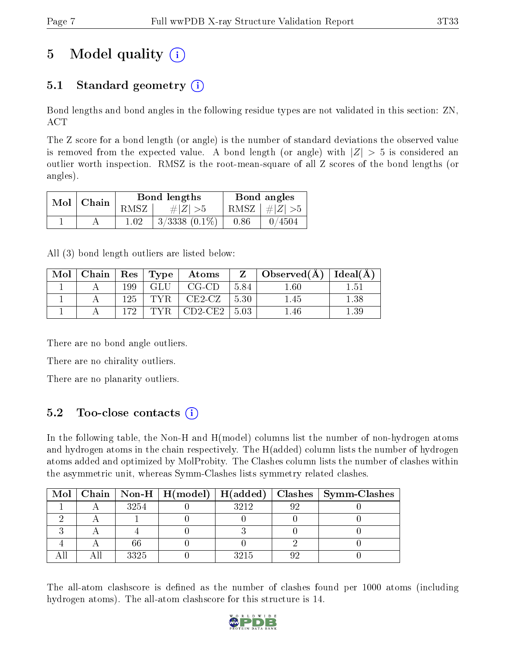# 5 Model quality  $(i)$

## 5.1 Standard geometry  $(i)$

Bond lengths and bond angles in the following residue types are not validated in this section: ZN, ACT

The Z score for a bond length (or angle) is the number of standard deviations the observed value is removed from the expected value. A bond length (or angle) with  $|Z| > 5$  is considered an outlier worth inspection. RMSZ is the root-mean-square of all Z scores of the bond lengths (or angles).

| Mol   Chain |          | Bond lengths       | Bond angles |                         |  |
|-------------|----------|--------------------|-------------|-------------------------|--|
|             | RMSZ     | # $ Z  > 5$        |             | RMSZ $\mid \#Z \mid >5$ |  |
|             | $1.02\,$ | $3/3338$ $(0.1\%)$ | 0.86        | 0/4504                  |  |

All (3) bond length outliers are listed below:

| Mol | Chain   Res   Type |     |     | $\boldsymbol{\mathrm{Atoms}}$ | 7.    | $\Delta$ Observed(A) | Ideal(A) |
|-----|--------------------|-----|-----|-------------------------------|-------|----------------------|----------|
|     |                    | 199 | GLU | $CG-CD$                       | -5.84 | $.60\,$              | 1.51     |
|     |                    | 125 | TVR | $CE2-CZ$                      | 5.30  | .45                  | 1.38     |
|     |                    | 179 | TYR | $CD2$ -CE2                    | -5.03 | .46                  | .39      |

There are no bond angle outliers.

There are no chirality outliers.

There are no planarity outliers.

### 5.2 Too-close contacts (i)

In the following table, the Non-H and H(model) columns list the number of non-hydrogen atoms and hydrogen atoms in the chain respectively. The H(added) column lists the number of hydrogen atoms added and optimized by MolProbity. The Clashes column lists the number of clashes within the asymmetric unit, whereas Symm-Clashes lists symmetry related clashes.

|  |      |      | Mol   Chain   Non-H   H(model)   H(added)   Clashes   Symm-Clashes |
|--|------|------|--------------------------------------------------------------------|
|  | 3254 | 3212 |                                                                    |
|  |      |      |                                                                    |
|  |      |      |                                                                    |
|  |      |      |                                                                    |
|  | 3325 |      |                                                                    |

The all-atom clashscore is defined as the number of clashes found per 1000 atoms (including hydrogen atoms). The all-atom clashscore for this structure is 14.

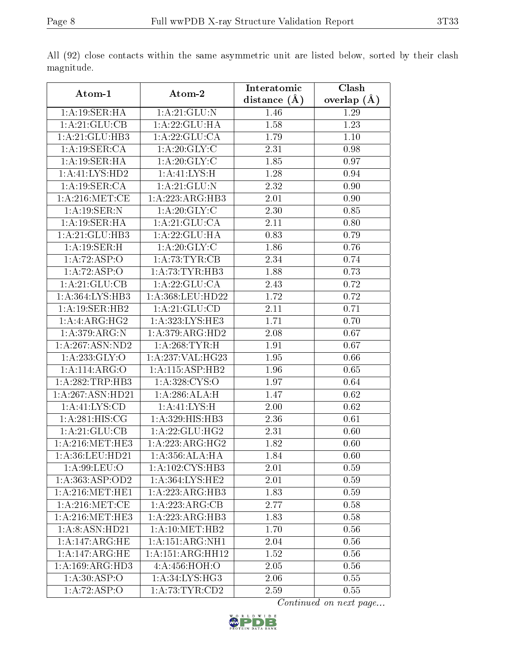|                              |                                 | Interatomic    | Clash         |
|------------------------------|---------------------------------|----------------|---------------|
| Atom-1                       | Atom-2                          | distance $(A)$ | overlap $(A)$ |
| 1: A:19: SER: HA             | 1:A:21:GLU:N                    | 1.46           | 1.29          |
| 1:A:21:GLU:CB                | 1:A:22:GLU:HA                   | 1.58           | 1.23          |
| 1:A:21:GLU:HB3               | 1: A:22: GLU:CA                 | 1.79           | 1.10          |
| 1:A:19:SER:CA                | 1: A:20: GLY: C                 | 2.31           | 0.98          |
| 1: A:19: SER:HA              | 1: A:20: GLY: C                 | 1.85           | 0.97          |
| 1:A:41:LYS:HD2               | 1: A:41: LYS:H                  | 1.28           | 0.94          |
| 1:A:19:SER:CA                | $1:$ A:21:GLU:N                 | 2.32           | 0.90          |
| 1: A:216: MET:CE             | 1:A:223:ARG:HB3                 | 2.01           | 0.90          |
| 1: A: 19: SER: N             | 1: A:20: GLY: C                 | 2.30           | 0.85          |
| 1:A:19:SER:HA                | 1: A:21: GLU:CA                 | 2.11           | 0.80          |
| 1: A:21: GLU:HB3             | 1: A:22: GLU:HA                 | 0.83           | 0.79          |
| 1:A:19:SER:H                 | 1: A:20: GLY: C                 | 1.86           | 0.76          |
| 1:A:72:ASP:O                 | 1: A:73:TYR:CB                  | 2.34           | 0.74          |
| 1:A:72:ASP:O                 | 1: A:73:TYR:HB3                 | 1.88           | 0.73          |
| 1:A:21:GLU:CB                | 1: A:22: GLU:CA                 | 2.43           | 0.72          |
| 1:A:364:LYS:HB3              | 1:A:368:LEU:HD22                | 1.72           | 0.72          |
| 1: A:19: SER: HB2            | 1: A:21: GLU:CD                 | 2.11           | 0.71          |
| 1:A:ARG:HG2                  | 1: A:323: LYS: HE3              | 1.71           | 0.70          |
| 1:A:379:ARG:N                | 1:A:379:ARG:HD2                 | 2.08           | 0.67          |
| 1: A:267: ASN:ND2            | 1: A:268:TYR:H                  | 1.91           | 0.67          |
| 1:A:233:GLY:O                | $1:A:237:\overline{VAL:HG23}$   | 1.95           | 0.66          |
| 1:A:114:ARG:O                | 1:A:115:ASP:HB2                 | 1.96           | 0.65          |
| 1:A:282:TRP:HB3              | 1: A:328: CYS:O                 | 1.97           | 0.64          |
| 1:A:267:ASN:HD21             | 1:A:286:ALA:H                   | 1.47           | 0.62          |
| 1: A: 41: LYS: CD            | 1: A:41: LYS:H                  | 2.00           | 0.62          |
| 1: A:281: HIS: CG            | 1:A:329:HIS:HB3                 | 2.36           | 0.61          |
| 1:A:21:GLU:CB                | 1: A:22: GLU:HG2                | 2.31           | 0.60          |
| 1: A:216: MET:HE3            | $1:\!A\!:\!223\!:\!ARG\!:\!HG2$ | 1.82           | 0.60          |
| 1: A:36: LEU:HD21            | 1:A:356:ALA:HA                  | 1.84           | 0.60          |
| 1: A:99: LEU:O               | 1: A: 102: CYS: HB3             | 2.01           | 0.59          |
| 1: A: 363: ASP: OD2          | 1:A:364:LYS:HE2                 | 2.01           | 0.59          |
| 1: A:216: MET:HE1            | 1:A:223:ARG:HB3                 | 1.83           | 0.59          |
| 1: A:216: MET:CE             | 1:A:223:ARG:CB                  | 2.77           | 0.58          |
| 1: A:216: MET:HE3            | 1:A:223:ARG:HB3                 | 1.83           | 0.58          |
| 1:A:8:ASN:HD21               | 1: A:10:MET:HB2                 | 1.70           | 0.56          |
| 1: A:147: ARG: HE            | 1: A:151: ARG:NH1               | 2.04           | 0.56          |
| 1: A:147: ARG: HE            | 1:A:151:ARG:HH12                | 1.52           | 0.56          |
| $1:A:169:AR\overline{G:HD3}$ | 4:A:456:HOH:O                   | 2.05           | 0.56          |
| 1: A:30: ASP:O               | 1: A:34: LYS:HG3                | 2.06           | 0.55          |
| 1:A:72:ASP:O                 | 1:A:73:TYR:CD2                  | 2.59           | 0.55          |

All (92) close contacts within the same asymmetric unit are listed below, sorted by their clash magnitude.

Continued on next page...

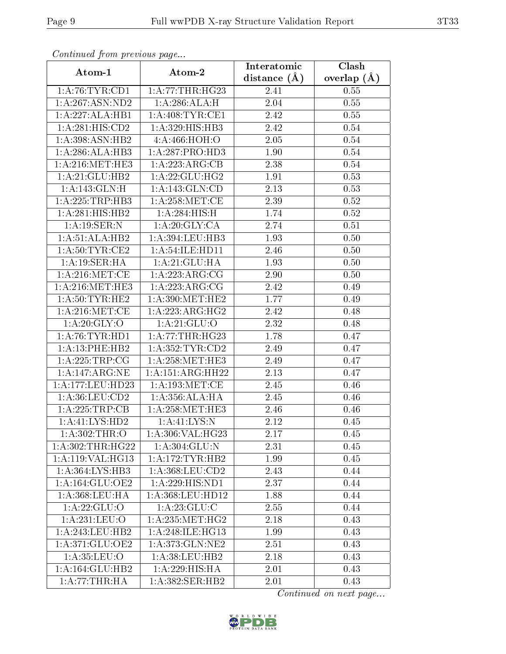| Commaca from previous page |                     | Interatomic       | $\overline{\text{Clash}}$ |
|----------------------------|---------------------|-------------------|---------------------------|
| Atom-1                     | Atom-2              | distance $(A)$    | overlap $(A)$             |
| 1: A:76:TYR:CD1            | 1:A:77:THR:HG23     | 2.41              | 0.55                      |
| 1: A: 267: ASN: ND2        | 1: A:286:ALA:H      | 2.04              | 0.55                      |
| 1:A:227:ALA:HB1            | 1: A:408:TYR:CE1    | 2.42              | 0.55                      |
| 1:A:281:HIS:CD2            | 1:A:329:HIS:HB3     | 2.42              | 0.54                      |
| 1:A:398:ASN:HB2            | 4:A:466:HOH:O       | 2.05              | 0.54                      |
| 1:A:286:ALA:HB3            | 1:A:287:PRO:HD3     | 1.90              | 0.54                      |
| 1: A:216:MET:HE3           | 1:A:223:ARG:CB      | 2.38              | 0.54                      |
| 1: A:21: GLU:HB2           | 1: A:22: GLU:HG2    | 1.91              | 0.53                      |
| 1:A:143:GLN:H              | 1: A:143: GLN:CD    | 2.13              | 0.53                      |
| 1: A: 225: TRP: HB3        | 1: A:258:MET:CE     | 2.39              | 0.52                      |
| 1:A:281:HIS:HB2            | 1: A:284: HIS:H     | 1.74              | 0.52                      |
| 1: A:19: SER: N            | 1: A:20: GLY: CA    | 2.74              | 0.51                      |
| 1:A:51:ALA:HB2             | 1:A:394:LEU:HB3     | 1.93              | 0.50                      |
| 1: A:50: TYR:CE2           | 1: A:54: ILE: HD11  | 2.46              | 0.50                      |
| 1: A:19: SER:HA            | 1:A:21:GLU:HA       | 1.93              | 0.50                      |
| 1: A:216: MET:CE           | 1:A:223:ARG:CG      | 2.90              | 0.50                      |
| 1:A:216:MET:HE3            | 1:A:223:ARG:CG      | 2.42              | 0.49                      |
| 1: A:50: TYR: HE2          | 1: A:390:MET:HE2    | 1.77              | 0.49                      |
| 1: A:216: MET:CE           | 1:A:223:ARG:HG2     | 2.42              | 0.48                      |
| 1: A:20: GLY:O             | 1: A:21: GLU:O      | 2.32              | 0.48                      |
| 1: A:76:TYR:HD1            | 1: A:77:THR:HG23    | 1.78              | 0.47                      |
| 1: A:13: PHE:HB2           | 1: A: 352: TYR: CD2 | 2.49              | 0.47                      |
| 1: A:225:TRP:CG            | 1: A:258:MET:HE3    | 2.49              | 0.47                      |
| 1:A:147:ARG:NE             | 1: A:151: ARG: HH22 | $\overline{2}.13$ | 0.47                      |
| 1:A:177:LEU:HD23           | 1: A: 193:MET:CE    | 2.45              | 0.46                      |
| 1:A:36:LEU:CD2             | 1:A:356:ALA:HA      | 2.45              | 0.46                      |
| 1:A:225:TRP:CB             | 1: A:258:MET:HE3    | 2.46              | 0.46                      |
| 1: A: 41: LYS: HD2         | 1: A: 41: LYS: N    | 2.12              | 0.45                      |
| 1: A:302:THR:O             | 1:A:306:VAL:HG23    | 2.17              | 0.45                      |
| 1: A:302:THR:HG22          | 1: A:304: GLU:N     | 2.31              | 0.45                      |
| 1:A:119:VAL:HG13           | 1: A:172:TYR:HB2    | 1.99              | 0.45                      |
| 1:A:364:LYS:HB3            | 1: A: 368: LEU: CD2 | 2.43              | 0.44                      |
| 1: A: 164: GLU: OE2        | 1:A:229:HIS:ND1     | 2.37              | 0.44                      |
| 1:A:368:LEU:HA             | 1:A:368:LEU:HD12    | 1.88              | 0.44                      |
| 1: A:22: GLU:O             | 1:A:23:GLU:C        | 2.55              | 0.44                      |
| 1:A:231:LEU:O              | 1: A: 235: MET:HG2  | 2.18              | 0.43                      |
| 1:A:243:LEU:HB2            | 1: A:248: ILE: HG13 | 1.99              | 0.43                      |
| 1:A:371:GLU:OE2            | 1:A:373:GLN:NE2     | 2.51              | 0.43                      |
| 1: A: 35: LEU: O           | 1: A:38:LEU:HB2     | 2.18              | 0.43                      |
| 1:A:164:GLU:HB2            | 1:A:229:HIS:HA      | 2.01              | 0.43                      |
| 1:A:77:THR:HA              | 1: A: 382: SER: HB2 | 2.01              | 0.43                      |

Continued from previous page.

Continued on next page...

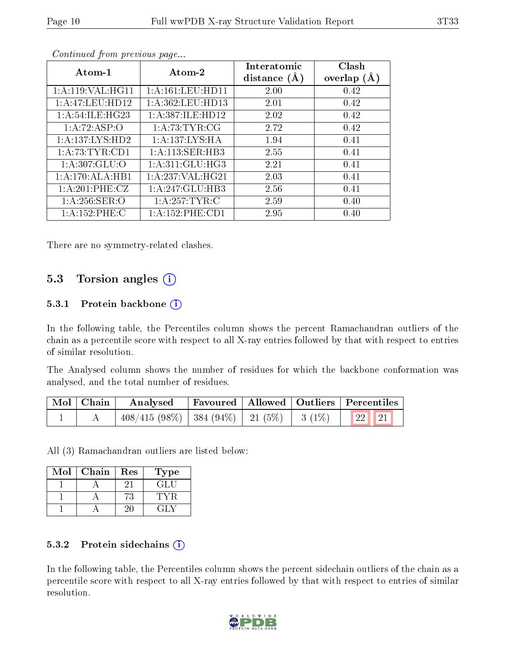| Atom-1                              | Atom-2               | Interatomic<br>distance $(A)$ | Clash<br>overlap $(A)$ |
|-------------------------------------|----------------------|-------------------------------|------------------------|
| 1: A:119: VAL: HG11                 | 1: A: 161: LEU: HD11 | 2.00                          | 0.42                   |
| 1: A:47:LEU:HD12                    | 1:A:362:LEU:HD13     | 2.01                          | 0.42                   |
| 1: A:54:ILE:HG23                    | 1:A:387:ILE:HD12     | 2.02                          | 0.42                   |
| 1:A:72:ASP:O                        | 1: A:73:TYR:CG       | 2.72                          | 0.42                   |
| 1:A:137:LYS:HD2                     | 1:A:137:LYS:HA       | 1.94                          | 0.41                   |
| 1: A:73:TYR:CD1                     | 1:A:113:SER:HB3      | 2.55                          | 0.41                   |
| $1:A:307:G\overline{\mathrm{LU}:O}$ | 1: A:311: GLU:HG3    | 2.21                          | 0.41                   |
| 1:A:170:ALA:HB1                     | 1: A:237: VAL:HG21   | 2.03                          | 0.41                   |
| 1: A:201:PHE:CZ                     | 1:A:247:GLU:HB3      | 2.56                          | 0.41                   |
| 1: A:256: SER:O                     | 1: A:257:TYR:C       | 2.59                          | 0.40                   |
| 1:A:152:PHE:C                       | 1: A: 152: PHE: CD1  | 2.95                          | 0.40                   |

Continued from previous page...

There are no symmetry-related clashes.

### 5.3 Torsion angles (i)

#### 5.3.1 Protein backbone  $(i)$

In the following table, the Percentiles column shows the percent Ramachandran outliers of the chain as a percentile score with respect to all X-ray entries followed by that with respect to entries of similar resolution.

The Analysed column shows the number of residues for which the backbone conformation was analysed, and the total number of residues.

| Mol   Chain | Analysed                                                              |  | Favoured   Allowed   Outliers   Percentiles |
|-------------|-----------------------------------------------------------------------|--|---------------------------------------------|
|             | $\frac{1}{22}$ 408/415 (98%)   384 (94%)   21 (5%)   3 (1%)   22   21 |  |                                             |

All (3) Ramachandran outliers are listed below:

| Mol | Chain | Res | <b>Type</b> |
|-----|-------|-----|-------------|
|     |       |     | GH.         |
|     |       | ΄3  |             |
|     |       |     |             |

#### 5.3.2 Protein sidechains (i)

In the following table, the Percentiles column shows the percent sidechain outliers of the chain as a percentile score with respect to all X-ray entries followed by that with respect to entries of similar resolution.

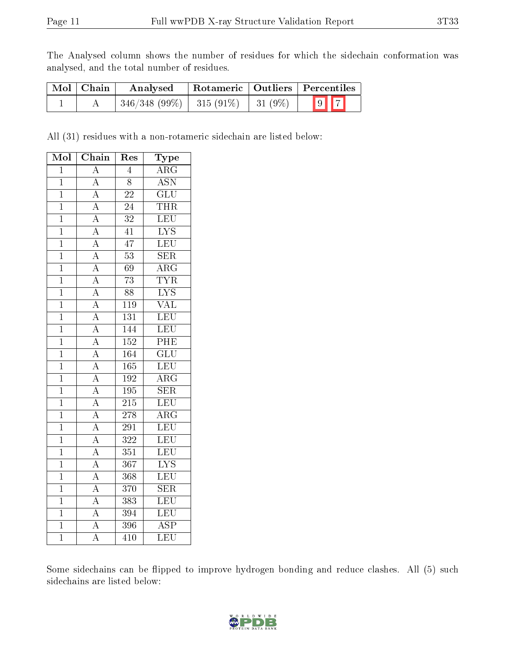The Analysed column shows the number of residues for which the sidechain conformation was analysed, and the total number of residues.

| Mol   Chain | Analysed                                 | Rotameric   Outliers   Percentiles |  |                         |  |  |
|-------------|------------------------------------------|------------------------------------|--|-------------------------|--|--|
|             | $346/348 (99\%)$   315 (91\%)   31 (9\%) |                                    |  | $\boxed{9}$ $\boxed{7}$ |  |  |

All (31) residues with a non-rotameric sidechain are listed below:

| Mol            | Chain                               | Res              | Type                    |
|----------------|-------------------------------------|------------------|-------------------------|
| $\overline{1}$ | $\boldsymbol{A}$                    | $\overline{4}$   | $\overline{\text{ARG}}$ |
| $\mathbf{1}$   | $\overline{A}$                      | $\overline{8}$   | $\overline{\text{ASN}}$ |
| $\overline{1}$ | $\overline{A}$                      | 22               | $\overline{\text{GLU}}$ |
| $\overline{1}$ | $\overline{A}$                      | 24               | <b>THR</b>              |
| $\mathbf{1}$   |                                     | $\overline{32}$  | LEU                     |
| $\mathbf{1}$   | $\frac{\overline{A}}{\overline{A}}$ | $\overline{41}$  | $\overline{\text{LYS}}$ |
| $\overline{1}$ | $\overline{A}$                      | $\overline{47}$  | LEU                     |
| $\mathbf{1}$   |                                     | $\overline{53}$  | <b>SER</b>              |
| $\mathbf 1$    | $\frac{\overline{A}}{\overline{A}}$ | $\overline{69}$  | $\overline{\rm{ARG}}$   |
| $\overline{1}$ | $\overline{A}$                      | $\overline{73}$  | <b>TYR</b>              |
| $\mathbf{1}$   | $\frac{\overline{A}}{\overline{A}}$ | $\overline{88}$  | $\overline{\text{LYS}}$ |
| $\mathbf{1}$   |                                     | 119              | $\overline{\text{VAL}}$ |
| $\mathbf{1}$   | $\overline{A}$                      | 131              | LEU                     |
| $\overline{1}$ | $\frac{\overline{A}}{\overline{A}}$ | 144              | LEU                     |
| $\mathbf{1}$   |                                     | 152              | PHE                     |
| $\overline{1}$ | $\overline{A}$                      | 164              | $\overline{\text{GLU}}$ |
| $\overline{1}$ | $\overline{A}$                      | $\overline{165}$ | LEU                     |
| $\mathbf{1}$   | $\overline{A}$                      | 192              | $\overline{\rm{ARG}}$   |
| $\overline{1}$ | $\overline{A}$                      | $\overline{195}$ | $\overline{\text{SER}}$ |
| $\mathbf{1}$   | $\frac{\overline{A}}{\overline{A}}$ | 215              | <b>LEU</b>              |
| $\overline{1}$ |                                     | $\overline{278}$ | $\overline{\rm{ARG}}$   |
| $\overline{1}$ | $\overline{A}$                      | 291              | LEU                     |
| $\overline{1}$ | $\frac{\overline{A}}{\overline{A}}$ | $\overline{322}$ | LEU                     |
| $\overline{1}$ |                                     | 351              | LEU                     |
| $\mathbf{1}$   | $\overline{A}$                      | 367              | $\overline{\text{LYS}}$ |
| $\mathbf{1}$   | $\overline{A}$                      | 368              | LEU                     |
| $\overline{1}$ | $\overline{A}$                      | 370              | <b>SER</b>              |
| $\overline{1}$ | $\overline{A}$                      | 383              | LEU                     |
| $\overline{1}$ | $\overline{A}$                      | 394              | LEU                     |
| $\mathbf{1}$   | $\overline{A}$                      | 396              | $\overline{\text{ASP}}$ |
| $\overline{1}$ | $\overline{\rm A}$                  | 410              | $\overline{\text{LEU}}$ |

Some sidechains can be flipped to improve hydrogen bonding and reduce clashes. All (5) such sidechains are listed below:

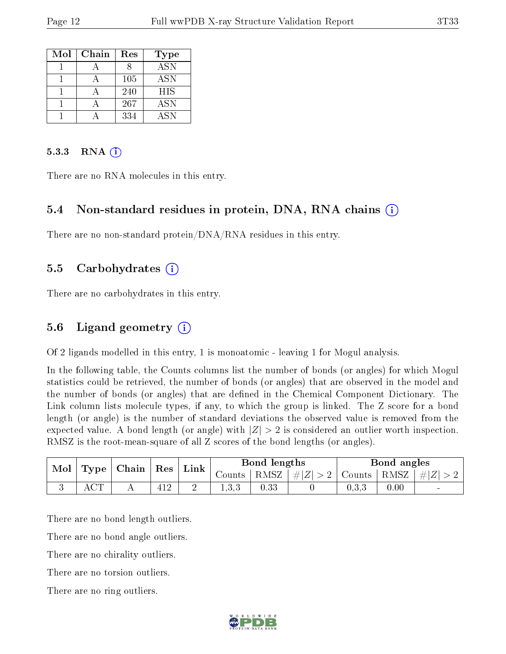| Mol | Chain | Res | <b>Type</b> |
|-----|-------|-----|-------------|
|     |       |     | ASN         |
|     |       | 105 | <b>ASN</b>  |
|     |       | 240 | <b>HIS</b>  |
|     |       | 267 | <b>ASN</b>  |
|     |       | 334 | <b>ASN</b>  |

#### $5.3.3$  RNA  $(i)$

There are no RNA molecules in this entry.

#### 5.4 Non-standard residues in protein, DNA, RNA chains (i)

There are no non-standard protein/DNA/RNA residues in this entry.

#### 5.5 Carbohydrates (i)

There are no carbohydrates in this entry.

#### 5.6 Ligand geometry (i)

Of 2 ligands modelled in this entry, 1 is monoatomic - leaving 1 for Mogul analysis.

In the following table, the Counts columns list the number of bonds (or angles) for which Mogul statistics could be retrieved, the number of bonds (or angles) that are observed in the model and the number of bonds (or angles) that are defined in the Chemical Component Dictionary. The Link column lists molecule types, if any, to which the group is linked. The Z score for a bond length (or angle) is the number of standard deviations the observed value is removed from the expected value. A bond length (or angle) with  $|Z| > 2$  is considered an outlier worth inspection. RMSZ is the root-mean-square of all Z scores of the bond lengths (or angles).

| Mol<br>Type |                 | Chain | Res |      | Bond lengths |          |                | Bond angles           |      |                  |
|-------------|-----------------|-------|-----|------|--------------|----------|----------------|-----------------------|------|------------------|
|             |                 |       |     | Link | Counts       | RMSZ     | , $\# Z $<br>↵ | Counts $\overline{a}$ | RMSZ | $\#$<br>$\Delta$ |
| ◡           | $\cap$ m $\cap$ |       | 1 ດ | ∼    |              | $0.33\,$ |                | U.J.J                 | 0.00 | $\sim$           |

There are no bond length outliers.

There are no bond angle outliers.

There are no chirality outliers.

There are no torsion outliers.

There are no ring outliers.

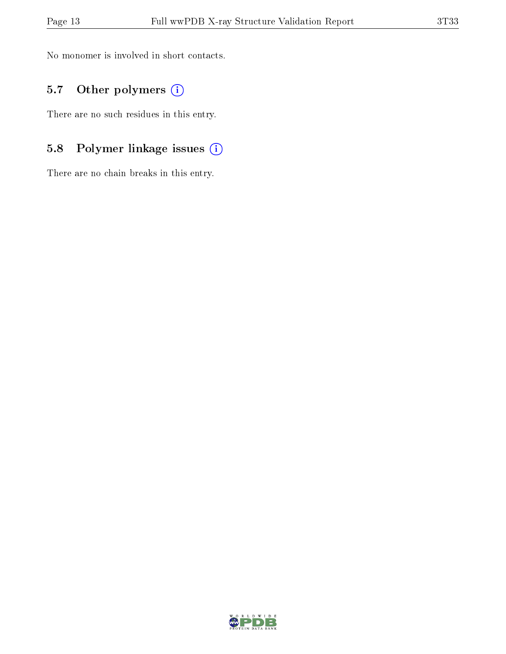No monomer is involved in short contacts.

### 5.7 [O](https://www.wwpdb.org/validation/2017/XrayValidationReportHelp#nonstandard_residues_and_ligands)ther polymers (i)

There are no such residues in this entry.

## 5.8 Polymer linkage issues (i)

There are no chain breaks in this entry.

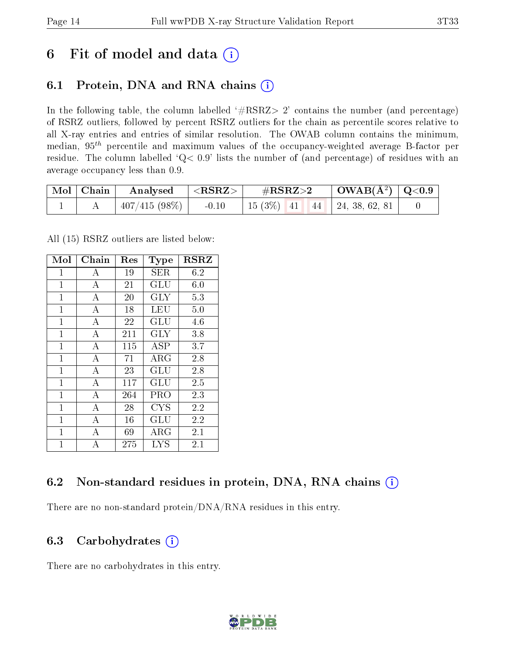## 6 Fit of model and data  $(i)$

## 6.1 Protein, DNA and RNA chains  $(i)$

In the following table, the column labelled  $#RSRZ> 2'$  contains the number (and percentage) of RSRZ outliers, followed by percent RSRZ outliers for the chain as percentile scores relative to all X-ray entries and entries of similar resolution. The OWAB column contains the minimum, median,  $95<sup>th</sup>$  percentile and maximum values of the occupancy-weighted average B-factor per residue. The column labelled ' $Q< 0.9$ ' lists the number of (and percentage) of residues with an average occupancy less than 0.9.

| $\vert$ Mol $\vert$ Chain $\vert$ | $\mid$ Analysed $\mid$ <rsrz> <math>\mid</math></rsrz> | $\rm \#RSRZ{>}2$                    | $\vert$ OWAB( $\rm{\AA^2}$ ) $\vert$ Q<0.9 $\vert$ |  |
|-----------------------------------|--------------------------------------------------------|-------------------------------------|----------------------------------------------------|--|
|                                   | $\mid$ 407/415 (98%) $\mid$ -0.10                      | 15 (3\%)   41   44   24, 38, 62, 81 |                                                    |  |

All (15) RSRZ outliers are listed below:

| Mol            | Chain            | Res | <b>Type</b>          | <b>RSRZ</b> |
|----------------|------------------|-----|----------------------|-------------|
| $\mathbf{1}$   | A                | 19  | SER                  | 6.2         |
| $\overline{1}$ | $\boldsymbol{A}$ | 21  | GLU                  | 6.0         |
| $\mathbf{1}$   | А                | 20  | <b>GLY</b>           | 5.3         |
| $\mathbf{1}$   | А                | 18  | LEU                  | 5.0         |
| $\overline{1}$ | $\overline{A}$   | 22  | GLU                  | 4.6         |
| $\mathbf{1}$   | А                | 211 | <b>GLY</b>           | 3.8         |
| $\overline{1}$ | А                | 115 | <b>ASP</b>           | 3.7         |
| $\mathbf{1}$   | А                | 71  | $\rm{ARG}$           | 2.8         |
| $\overline{1}$ | $\overline{A}$   | 23  | GLU                  | 2.8         |
| $\overline{1}$ | А                | 117 | GLU                  | 2.5         |
| $\mathbf{1}$   | $\overline{A}$   | 264 | PRO                  | 2.3         |
| $\overline{1}$ | $\overline{A}$   | 28  | <b>CYS</b>           | 2.2         |
| $\mathbf{1}$   | А                | 16  | $\operatorname{GLU}$ | 2.2         |
| $\mathbf{1}$   | А                | 69  | ${\rm ARG}$          | 2.1         |
| $\overline{1}$ | A                | 275 | <b>LYS</b>           | 2.1         |

### 6.2 Non-standard residues in protein, DNA, RNA chains (i)

There are no non-standard protein/DNA/RNA residues in this entry.

### 6.3 Carbohydrates  $(i)$

There are no carbohydrates in this entry.